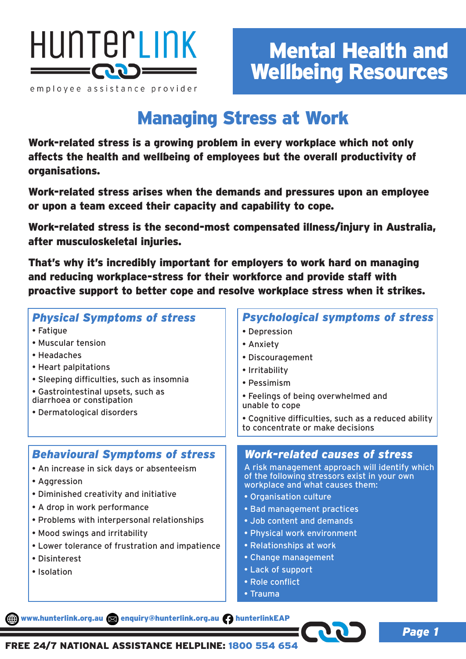

employee assistance provider

*Page 1*

# Managing Stress at Work

Work-related stress is a growing problem in every workplace which not only affects the health and wellbeing of employees but the overall productivity of organisations.

Work-related stress arises when the demands and pressures upon an employee or upon a team exceed their capacity and capability to cope.

Work-related stress is the second-most compensated illness/injury in Australia, after musculoskeletal injuries.

That's why it's incredibly important for employers to work hard on managing and reducing workplace-stress for their workforce and provide staff with proactive support to better cope and resolve workplace stress when it strikes.

| <b>Physical Symptoms of stress</b><br>• Fatique<br>• Muscular tension<br>• Headaches<br>• Heart palpitations<br>• Sleeping difficulties, such as insomnia<br>• Gastrointestinal upsets, such as<br>diarrhoea or constipation<br>• Dermatological disorders                                                                                       | <b>Psychological symptoms of stress</b><br>• Depression<br>• Anxiety<br>• Discouragement<br>• Irritability<br>• Pessimism<br>• Feelings of being overwhelmed and<br>unable to cope<br>• Cognitive difficulties, such as a reduced ability<br>to concentrate or make decisions                                                                                                                       |
|--------------------------------------------------------------------------------------------------------------------------------------------------------------------------------------------------------------------------------------------------------------------------------------------------------------------------------------------------|-----------------------------------------------------------------------------------------------------------------------------------------------------------------------------------------------------------------------------------------------------------------------------------------------------------------------------------------------------------------------------------------------------|
| <b>Behavioural Symptoms of stress</b><br>• An increase in sick days or absenteeism<br>• Aggression<br>• Diminished creativity and initiative<br>• A drop in work performance<br>• Problems with interpersonal relationships<br>• Mood swings and irritability<br>• Lower tolerance of frustration and impatience<br>• Disinterest<br>• Isolation | <b>Work-related causes of stress</b><br>A risk management approach will identify which<br>of the following stressors exist in your own<br>workplace and what causes them:<br>• Organisation culture<br>• Bad management practices<br>. Job content and demands<br>• Physical work environment<br>• Relationships at work<br>• Change management<br>• Lack of support<br>• Role conflict<br>• Trauma |

www.hunterlink.org.au a enquiry@hunterlink.org.au hunterlinkEAP